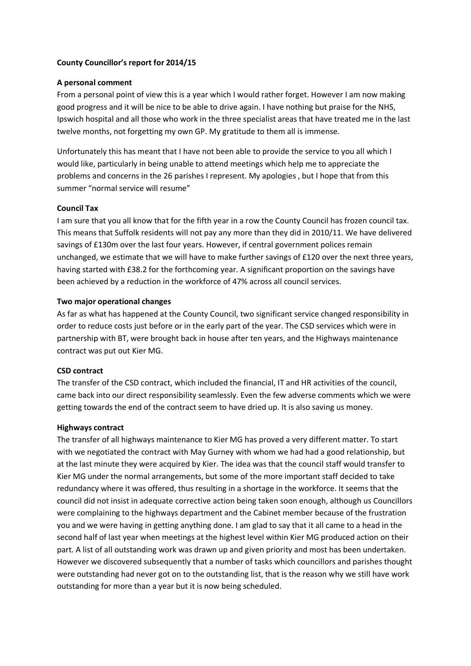# County Councillor's report for 2014/15

# A personal comment

From a personal point of view this is a year which I would rather forget. However I am now making good progress and it will be nice to be able to drive again. I have nothing but praise for the NHS, Ipswich hospital and all those who work in the three specialist areas that have treated me in the last twelve months, not forgetting my own GP. My gratitude to them all is immense.

Unfortunately this has meant that I have not been able to provide the service to you all which I would like, particularly in being unable to attend meetings which help me to appreciate the problems and concerns in the 26 parishes I represent. My apologies , but I hope that from this summer "normal service will resume"

# Council Tax

I am sure that you all know that for the fifth year in a row the County Council has frozen council tax. This means that Suffolk residents will not pay any more than they did in 2010/11. We have delivered savings of £130m over the last four years. However, if central government polices remain unchanged, we estimate that we will have to make further savings of £120 over the next three years, having started with £38.2 for the forthcoming year. A significant proportion on the savings have been achieved by a reduction in the workforce of 47% across all council services.

## Two major operational changes

As far as what has happened at the County Council, two significant service changed responsibility in order to reduce costs just before or in the early part of the year. The CSD services which were in partnership with BT, were brought back in house after ten years, and the Highways maintenance contract was put out Kier MG.

## CSD contract

The transfer of the CSD contract, which included the financial, IT and HR activities of the council, came back into our direct responsibility seamlessly. Even the few adverse comments which we were getting towards the end of the contract seem to have dried up. It is also saving us money.

## Highways contract

The transfer of all highways maintenance to Kier MG has proved a very different matter. To start with we negotiated the contract with May Gurney with whom we had had a good relationship, but at the last minute they were acquired by Kier. The idea was that the council staff would transfer to Kier MG under the normal arrangements, but some of the more important staff decided to take redundancy where it was offered, thus resulting in a shortage in the workforce. It seems that the council did not insist in adequate corrective action being taken soon enough, although us Councillors were complaining to the highways department and the Cabinet member because of the frustration you and we were having in getting anything done. I am glad to say that it all came to a head in the second half of last year when meetings at the highest level within Kier MG produced action on their part. A list of all outstanding work was drawn up and given priority and most has been undertaken. However we discovered subsequently that a number of tasks which councillors and parishes thought were outstanding had never got on to the outstanding list, that is the reason why we still have work outstanding for more than a year but it is now being scheduled.